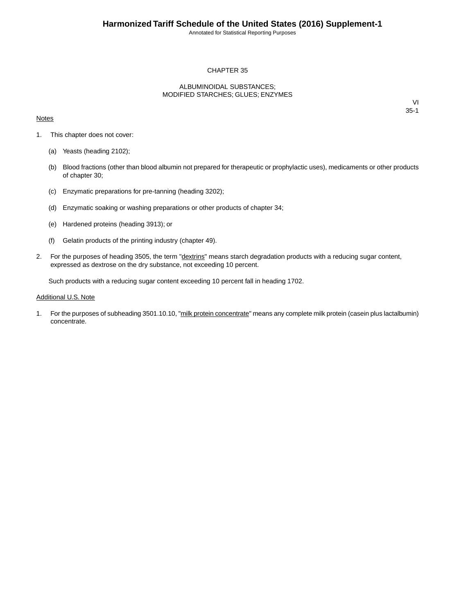Annotated for Statistical Reporting Purposes

## CHAPTER 35

### ALBUMINOIDAL SUBSTANCES; MODIFIED STARCHES; GLUES; ENZYMES

### **Notes**

VI 35-1

- 1. This chapter does not cover:
	- (a) Yeasts (heading 2102);
	- (b) Blood fractions (other than blood albumin not prepared for therapeutic or prophylactic uses), medicaments or other products of chapter 30;
	- (c) Enzymatic preparations for pre-tanning (heading 3202);
	- (d) Enzymatic soaking or washing preparations or other products of chapter 34;
	- (e) Hardened proteins (heading 3913); or
	- (f) Gelatin products of the printing industry (chapter 49).
- 2. For the purposes of heading 3505, the term "dextrins" means starch degradation products with a reducing sugar content, expressed as dextrose on the dry substance, not exceeding 10 percent.

Such products with a reducing sugar content exceeding 10 percent fall in heading 1702.

#### Additional U.S. Note

1. For the purposes of subheading 3501.10.10, "milk protein concentrate" means any complete milk protein (casein plus lactalbumin) concentrate.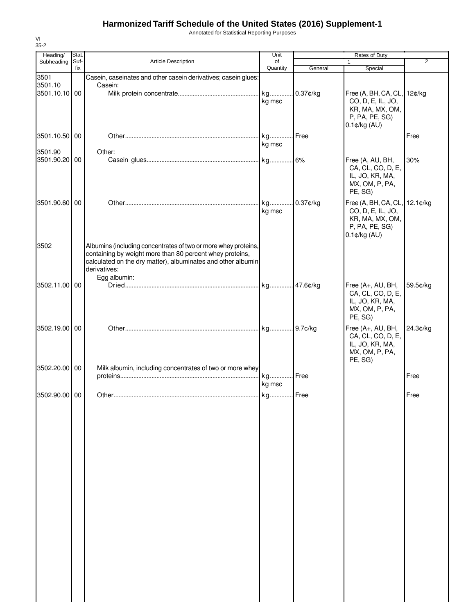## **Harmonized Tariff Schedule of the United States (2016) Supplement-1**

Annotated for Statistical Reporting Purposes

| $35 - 2$                 |             |                                                                |                |          |                                      |          |
|--------------------------|-------------|----------------------------------------------------------------|----------------|----------|--------------------------------------|----------|
| Heading/                 | Stat.       |                                                                | Unit           |          | Rates of Duty                        |          |
| Subheading               | Suf-<br>fix | Article Description                                            | of<br>Quantity |          | 1                                    | 2        |
|                          |             |                                                                |                | General  | Special                              |          |
| 3501                     |             | Casein, caseinates and other casein derivatives; casein glues: |                |          |                                      |          |
| 3501.10<br>3501.10.10 00 |             | Casein:                                                        | kg             | 0.37¢/kg | Free (A, BH, CA, CL, 12¢/kg          |          |
|                          |             |                                                                |                |          | CO, D, E, IL, JO,                    |          |
|                          |             |                                                                | kg msc         |          | KR, MA, MX, OM,                      |          |
|                          |             |                                                                |                |          | P, PA, PE, SG)                       |          |
|                          |             |                                                                |                |          | $0.1$ ¢/kg (AU)                      |          |
|                          |             |                                                                |                |          |                                      |          |
| 3501.10.50 00            |             |                                                                | kg             | Free     |                                      | Free     |
|                          |             |                                                                | kg msc         |          |                                      |          |
| 3501.90                  |             | Other:                                                         |                |          |                                      |          |
| 3501.90.20 00            |             |                                                                |                |          | Free (A, AU, BH,                     | 30%      |
|                          |             |                                                                |                |          | CA, CL, CO, D, E,                    |          |
|                          |             |                                                                |                |          | IL, JO, KR, MA,                      |          |
|                          |             |                                                                |                |          | MX, OM, P, PA,                       |          |
|                          |             |                                                                |                |          | PE, SG)                              |          |
| 3501.90.60 00            |             |                                                                | kg             | 0.37¢/kg | Free (A, BH, CA, CL, 12.1¢/kg        |          |
|                          |             |                                                                | kg msc         |          | CO, D, E, IL, JO,                    |          |
|                          |             |                                                                |                |          | KR, MA, MX, OM,                      |          |
|                          |             |                                                                |                |          | P, PA, PE, SG)                       |          |
|                          |             |                                                                |                |          | $0.1$ ¢/kg $(AU)$                    |          |
| 3502                     |             | Albumins (including concentrates of two or more whey proteins, |                |          |                                      |          |
|                          |             | containing by weight more than 80 percent whey proteins,       |                |          |                                      |          |
|                          |             | calculated on the dry matter), albuminates and other albumin   |                |          |                                      |          |
|                          |             | derivatives:                                                   |                |          |                                      |          |
|                          |             | Egg albumin:                                                   |                |          |                                      |          |
| 3502.11.00 00            |             |                                                                |                |          | Free (A+, AU, BH,                    | 59.5¢/kg |
|                          |             |                                                                |                |          | CA, CL, CO, D, E,                    |          |
|                          |             |                                                                |                |          | IL, JO, KR, MA,                      |          |
|                          |             |                                                                |                |          | MX, OM, P, PA,                       |          |
|                          |             |                                                                |                |          | PE, SG)                              |          |
| 3502.19.00 00            |             |                                                                |                |          |                                      |          |
|                          |             |                                                                |                |          | Free (A+, AU, BH,                    | 24.3¢/kg |
|                          |             |                                                                |                |          | CA, CL, CO, D, E,<br>IL, JO, KR, MA, |          |
|                          |             |                                                                |                |          | MX, OM, P, PA,                       |          |
|                          |             |                                                                |                |          | PE, SG)                              |          |
| 3502.20.00 00            |             | Milk albumin, including concentrates of two or more whey       |                |          |                                      |          |
|                          |             |                                                                | kg             | Free     |                                      | Free     |
|                          |             |                                                                |                |          |                                      |          |
|                          |             |                                                                | kg msc         |          |                                      |          |
| 3502.90.00 00            |             |                                                                | . kg Free      |          |                                      | Free     |
|                          |             |                                                                |                |          |                                      |          |
|                          |             |                                                                |                |          |                                      |          |
|                          |             |                                                                |                |          |                                      |          |
|                          |             |                                                                |                |          |                                      |          |
|                          |             |                                                                |                |          |                                      |          |
|                          |             |                                                                |                |          |                                      |          |
|                          |             |                                                                |                |          |                                      |          |
|                          |             |                                                                |                |          |                                      |          |
|                          |             |                                                                |                |          |                                      |          |
|                          |             |                                                                |                |          |                                      |          |
|                          |             |                                                                |                |          |                                      |          |
|                          |             |                                                                |                |          |                                      |          |
|                          |             |                                                                |                |          |                                      |          |
|                          |             |                                                                |                |          |                                      |          |
|                          |             |                                                                |                |          |                                      |          |
|                          |             |                                                                |                |          |                                      |          |
|                          |             |                                                                |                |          |                                      |          |
|                          |             |                                                                |                |          |                                      |          |
|                          |             |                                                                |                |          |                                      |          |
|                          |             |                                                                |                |          |                                      |          |
|                          |             |                                                                |                |          |                                      |          |
|                          |             |                                                                |                |          |                                      |          |
|                          |             |                                                                |                |          |                                      |          |
|                          |             |                                                                |                |          |                                      |          |
|                          |             |                                                                |                |          |                                      |          |
|                          |             |                                                                |                |          |                                      |          |

VI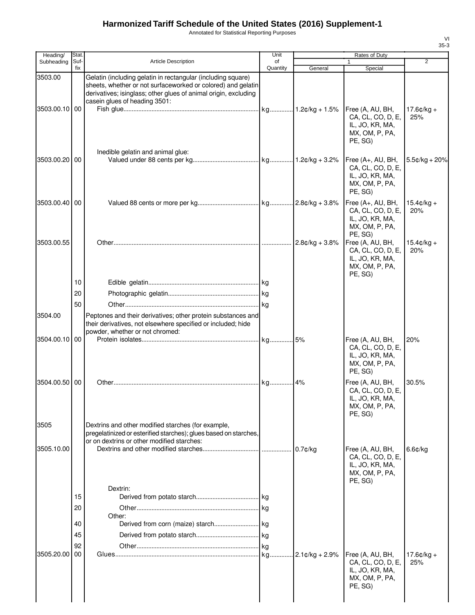# **Harmonized Tariff Schedule of the United States (2016) Supplement-1**

Annotated for Statistical Reporting Purposes

| Quantity<br>fix<br>General<br>Special<br>Gelatin (including gelatin in rectangular (including square)<br>3503.00<br>sheets, whether or not surfaceworked or colored) and gelatin<br>derivatives; isinglass; other glues of animal origin, excluding<br>casein glues of heading 3501:<br>kg 1.2¢/kg + 1.5%<br>3503.00.10 00<br>Free (A, AU, BH,<br>CA, CL, CO, D, E,<br>25%<br>IL, JO, KR, MA,<br>MX, OM, P, PA,<br>PE, SG)<br>Inedible gelatin and animal glue:<br>3503.00.20 00<br>Free (A+, AU, BH,<br>CA, CL, CO, D, E,<br>IL, JO, KR, MA,<br>MX, OM, P, PA,<br>PE, SG)<br>3503.00.40 00<br>Free (A+, AU, BH,<br>CA, CL, CO, D, E,<br>20%<br>IL, JO, KR, MA,<br>MX, OM, P, PA,<br>PE, SG)<br>3503.00.55<br>$2.8¢/kg + 3.8%$<br>Free (A, AU, BH,<br>CA, CL, CO, D, E,<br>20%<br>IL, JO, KR, MA,<br>MX, OM, P, PA,<br>PE, SG)<br>10<br>20<br>50<br>3504.00<br>Peptones and their derivatives; other protein substances and<br>their derivatives, not elsewhere specified or included; hide<br>powder, whether or not chromed:<br>kg 5%<br>3504.00.10<br>00<br>Free (A, AU, BH,<br>20%<br>CA, CL, CO, D, E,<br>IL, JO, KR, MA,<br>MX, OM, P, PA,<br>PE, SG)<br>3504.00.50 00<br>30.5%<br>.  kg 4%<br>Free (A, AU, BH,<br>CA, CL, CO, D, E,<br>IL, JO, KR, MA,<br>MX, OM, P, PA,<br>PE. SG)<br>3505<br>Dextrins and other modified starches (for example,<br>pregelatinized or esterified starches); glues based on starches,<br>or on dextrins or other modified starches:<br>3505.10.00<br>$0.7$ ¢/kg<br>Free (A, AU, BH,<br>$6.6$ ¢/kg<br>CA, CL, CO, D, E,<br>IL, JO, KR, MA,<br>MX, OM, P, PA,<br>PE, SG)<br>Dextrin:<br>15<br>20<br>Other:<br>40<br>45<br>92<br>3505.20.00<br>00<br>$.2.1$ ¢/kg + 2.9%<br>Free (A, AU, BH,<br>CA, CL, CO, D, E,<br>25% | Heading/   | Stat. |                            | Unit | Rates of Duty   |                      |
|-------------------------------------------------------------------------------------------------------------------------------------------------------------------------------------------------------------------------------------------------------------------------------------------------------------------------------------------------------------------------------------------------------------------------------------------------------------------------------------------------------------------------------------------------------------------------------------------------------------------------------------------------------------------------------------------------------------------------------------------------------------------------------------------------------------------------------------------------------------------------------------------------------------------------------------------------------------------------------------------------------------------------------------------------------------------------------------------------------------------------------------------------------------------------------------------------------------------------------------------------------------------------------------------------------------------------------------------------------------------------------------------------------------------------------------------------------------------------------------------------------------------------------------------------------------------------------------------------------------------------------------------------------------------------------------------------------------------------------------------------------------|------------|-------|----------------------------|------|-----------------|----------------------|
|                                                                                                                                                                                                                                                                                                                                                                                                                                                                                                                                                                                                                                                                                                                                                                                                                                                                                                                                                                                                                                                                                                                                                                                                                                                                                                                                                                                                                                                                                                                                                                                                                                                                                                                                                             | Subheading | Suf-  | <b>Article Description</b> | of   | 1               | $\overline{2}$       |
|                                                                                                                                                                                                                                                                                                                                                                                                                                                                                                                                                                                                                                                                                                                                                                                                                                                                                                                                                                                                                                                                                                                                                                                                                                                                                                                                                                                                                                                                                                                                                                                                                                                                                                                                                             |            |       |                            |      |                 | $17.6¢/kg +$         |
|                                                                                                                                                                                                                                                                                                                                                                                                                                                                                                                                                                                                                                                                                                                                                                                                                                                                                                                                                                                                                                                                                                                                                                                                                                                                                                                                                                                                                                                                                                                                                                                                                                                                                                                                                             |            |       |                            |      |                 | $5.5¢/kg + 20%$      |
|                                                                                                                                                                                                                                                                                                                                                                                                                                                                                                                                                                                                                                                                                                                                                                                                                                                                                                                                                                                                                                                                                                                                                                                                                                                                                                                                                                                                                                                                                                                                                                                                                                                                                                                                                             |            |       |                            |      |                 | $15.4 \text{c/kg} +$ |
|                                                                                                                                                                                                                                                                                                                                                                                                                                                                                                                                                                                                                                                                                                                                                                                                                                                                                                                                                                                                                                                                                                                                                                                                                                                                                                                                                                                                                                                                                                                                                                                                                                                                                                                                                             |            |       |                            |      |                 | $15.4 \text{c/kg} +$ |
|                                                                                                                                                                                                                                                                                                                                                                                                                                                                                                                                                                                                                                                                                                                                                                                                                                                                                                                                                                                                                                                                                                                                                                                                                                                                                                                                                                                                                                                                                                                                                                                                                                                                                                                                                             |            |       |                            |      |                 |                      |
|                                                                                                                                                                                                                                                                                                                                                                                                                                                                                                                                                                                                                                                                                                                                                                                                                                                                                                                                                                                                                                                                                                                                                                                                                                                                                                                                                                                                                                                                                                                                                                                                                                                                                                                                                             |            |       |                            |      |                 |                      |
|                                                                                                                                                                                                                                                                                                                                                                                                                                                                                                                                                                                                                                                                                                                                                                                                                                                                                                                                                                                                                                                                                                                                                                                                                                                                                                                                                                                                                                                                                                                                                                                                                                                                                                                                                             |            |       |                            |      |                 |                      |
|                                                                                                                                                                                                                                                                                                                                                                                                                                                                                                                                                                                                                                                                                                                                                                                                                                                                                                                                                                                                                                                                                                                                                                                                                                                                                                                                                                                                                                                                                                                                                                                                                                                                                                                                                             |            |       |                            |      |                 |                      |
|                                                                                                                                                                                                                                                                                                                                                                                                                                                                                                                                                                                                                                                                                                                                                                                                                                                                                                                                                                                                                                                                                                                                                                                                                                                                                                                                                                                                                                                                                                                                                                                                                                                                                                                                                             |            |       |                            |      |                 |                      |
|                                                                                                                                                                                                                                                                                                                                                                                                                                                                                                                                                                                                                                                                                                                                                                                                                                                                                                                                                                                                                                                                                                                                                                                                                                                                                                                                                                                                                                                                                                                                                                                                                                                                                                                                                             |            |       |                            |      |                 |                      |
|                                                                                                                                                                                                                                                                                                                                                                                                                                                                                                                                                                                                                                                                                                                                                                                                                                                                                                                                                                                                                                                                                                                                                                                                                                                                                                                                                                                                                                                                                                                                                                                                                                                                                                                                                             |            |       |                            |      |                 |                      |
|                                                                                                                                                                                                                                                                                                                                                                                                                                                                                                                                                                                                                                                                                                                                                                                                                                                                                                                                                                                                                                                                                                                                                                                                                                                                                                                                                                                                                                                                                                                                                                                                                                                                                                                                                             |            |       |                            |      |                 |                      |
|                                                                                                                                                                                                                                                                                                                                                                                                                                                                                                                                                                                                                                                                                                                                                                                                                                                                                                                                                                                                                                                                                                                                                                                                                                                                                                                                                                                                                                                                                                                                                                                                                                                                                                                                                             |            |       |                            |      |                 |                      |
|                                                                                                                                                                                                                                                                                                                                                                                                                                                                                                                                                                                                                                                                                                                                                                                                                                                                                                                                                                                                                                                                                                                                                                                                                                                                                                                                                                                                                                                                                                                                                                                                                                                                                                                                                             |            |       |                            |      |                 |                      |
|                                                                                                                                                                                                                                                                                                                                                                                                                                                                                                                                                                                                                                                                                                                                                                                                                                                                                                                                                                                                                                                                                                                                                                                                                                                                                                                                                                                                                                                                                                                                                                                                                                                                                                                                                             |            |       |                            |      |                 |                      |
|                                                                                                                                                                                                                                                                                                                                                                                                                                                                                                                                                                                                                                                                                                                                                                                                                                                                                                                                                                                                                                                                                                                                                                                                                                                                                                                                                                                                                                                                                                                                                                                                                                                                                                                                                             |            |       |                            |      |                 |                      |
|                                                                                                                                                                                                                                                                                                                                                                                                                                                                                                                                                                                                                                                                                                                                                                                                                                                                                                                                                                                                                                                                                                                                                                                                                                                                                                                                                                                                                                                                                                                                                                                                                                                                                                                                                             |            |       |                            |      |                 |                      |
|                                                                                                                                                                                                                                                                                                                                                                                                                                                                                                                                                                                                                                                                                                                                                                                                                                                                                                                                                                                                                                                                                                                                                                                                                                                                                                                                                                                                                                                                                                                                                                                                                                                                                                                                                             |            |       |                            |      |                 |                      |
| MX, OM, P, PA,<br>PE, SG)                                                                                                                                                                                                                                                                                                                                                                                                                                                                                                                                                                                                                                                                                                                                                                                                                                                                                                                                                                                                                                                                                                                                                                                                                                                                                                                                                                                                                                                                                                                                                                                                                                                                                                                                   |            |       |                            |      | IL, JO, KR, MA, | $17.6¢/kg +$         |

VI 35-3